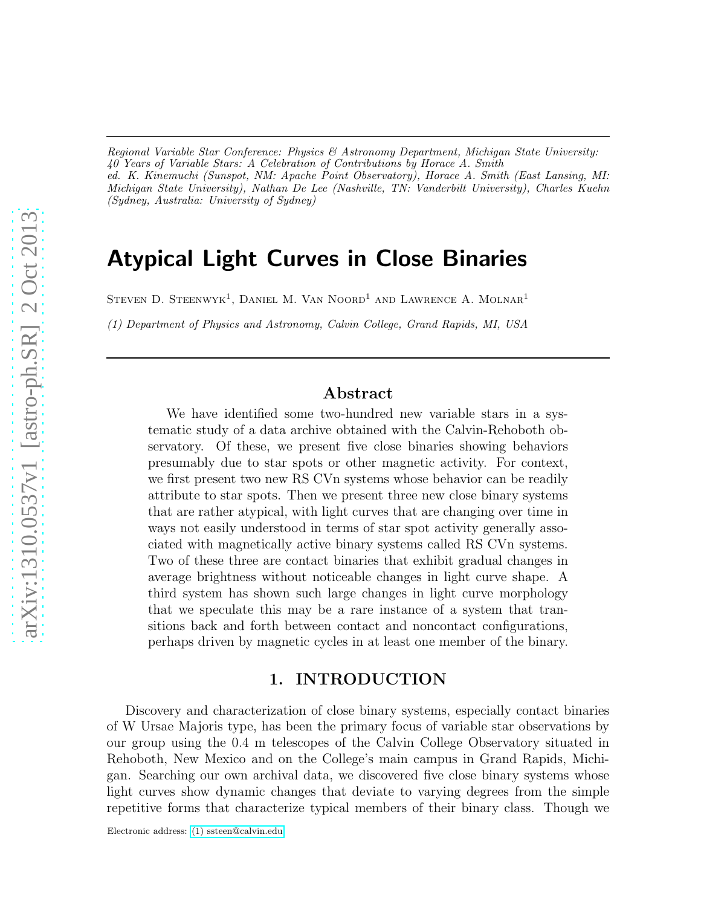*Regional Variable Star Conference: Physics & Astronomy Department, Michigan State University: 40 Years of Variable Stars: A Celebration of Contributions by Horace A. Smith ed. K. Kinemuchi (Sunspot, NM: Apache Point Observatory), Horace A. Smith (East Lansing, MI: Michigan State University), Nathan De Lee (Nashville, TN: Vanderbilt University), Charles Kuehn (Sydney, Australia: University of Sydney)*

# Atypical Light Curves in Close Binaries

STEVEN D. STEENWYK<sup>1</sup>, DANIEL M. VAN NOORD<sup>1</sup> AND LAWRENCE A. MOLNAR<sup>1</sup>

*(1) Department of Physics and Astronomy, Calvin College, Grand Rapids, MI, USA*

# Abstract

We have identified some two-hundred new variable stars in a systematic study of a data archive obtained with the Calvin-Rehoboth observatory. Of these, we present five close binaries showing behaviors presumably due to star spots or other magnetic activity. For context, we first present two new RS CVn systems whose behavior can be readily attribute to star spots. Then we present three new close binary systems that are rather atypical, with light curves that are changing over time in ways not easily understood in terms of star spot activity generally associated with magnetically active binary systems called RS CVn systems. Two of these three are contact binaries that exhibit gradual changes in average brightness without noticeable changes in light curve shape. A third system has shown such large changes in light curve morphology that we speculate this may be a rare instance of a system that transitions back and forth between contact and noncontact configurations, perhaps driven by magnetic cycles in at least one member of the binary.

# 1. INTRODUCTION

Discovery and characterization of close binary systems, especially contact binaries of W Ursae Majoris type, has been the primary focus of variable star observations by our group using the 0.4 m telescopes of the Calvin College Observatory situated in Rehoboth, New Mexico and on the College's main campus in Grand Rapids, Michigan. Searching our own archival data, we discovered five close binary systems whose light curves show dynamic changes that deviate to varying degrees from the simple repetitive forms that characterize typical members of their binary class. Though we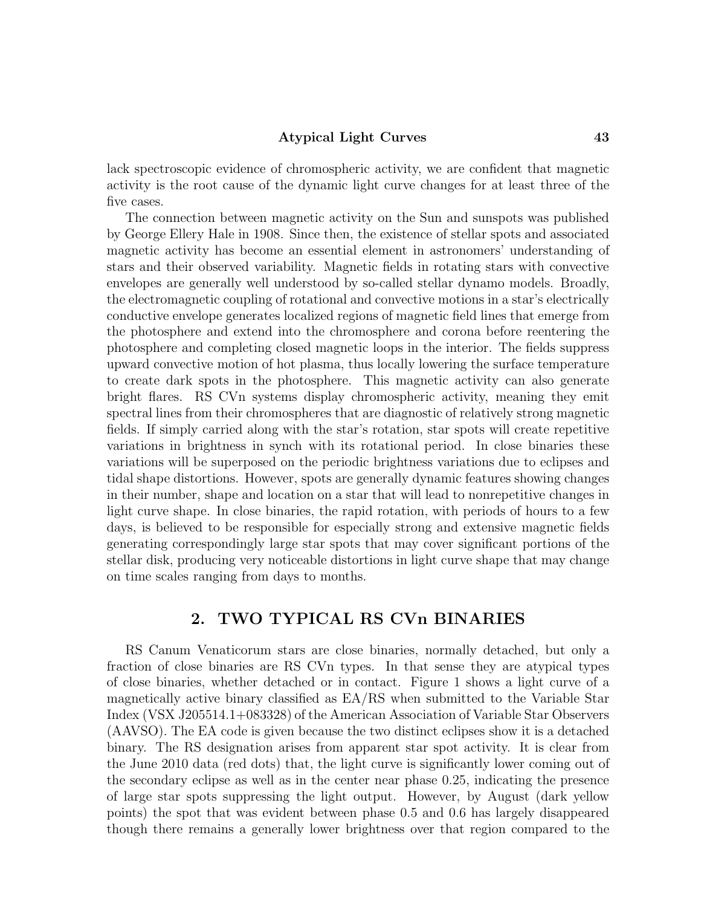#### Atypical Light Curves 43

lack spectroscopic evidence of chromospheric activity, we are confident that magnetic activity is the root cause of the dynamic light curve changes for at least three of the five cases.

The connection between magnetic activity on the Sun and sunspots was published by George Ellery Hale in 1908. Since then, the existence of stellar spots and associated magnetic activity has become an essential element in astronomers' understanding of stars and their observed variability. Magnetic fields in rotating stars with convective envelopes are generally well understood by so-called stellar dynamo models. Broadly, the electromagnetic coupling of rotational and convective motions in a star's electrically conductive envelope generates localized regions of magnetic field lines that emerge from the photosphere and extend into the chromosphere and corona before reentering the photosphere and completing closed magnetic loops in the interior. The fields suppress upward convective motion of hot plasma, thus locally lowering the surface temperature to create dark spots in the photosphere. This magnetic activity can also generate bright flares. RS CVn systems display chromospheric activity, meaning they emit spectral lines from their chromospheres that are diagnostic of relatively strong magnetic fields. If simply carried along with the star's rotation, star spots will create repetitive variations in brightness in synch with its rotational period. In close binaries these variations will be superposed on the periodic brightness variations due to eclipses and tidal shape distortions. However, spots are generally dynamic features showing changes in their number, shape and location on a star that will lead to nonrepetitive changes in light curve shape. In close binaries, the rapid rotation, with periods of hours to a few days, is believed to be responsible for especially strong and extensive magnetic fields generating correspondingly large star spots that may cover significant portions of the stellar disk, producing very noticeable distortions in light curve shape that may change on time scales ranging from days to months.

# 2. TWO TYPICAL RS CVn BINARIES

RS Canum Venaticorum stars are close binaries, normally detached, but only a fraction of close binaries are RS CVn types. In that sense they are atypical types of close binaries, whether detached or in contact. Figure 1 shows a light curve of a magnetically active binary classified as EA/RS when submitted to the Variable Star Index (VSX J205514.1+083328) of the American Association of Variable Star Observers (AAVSO). The EA code is given because the two distinct eclipses show it is a detached binary. The RS designation arises from apparent star spot activity. It is clear from the June 2010 data (red dots) that, the light curve is significantly lower coming out of the secondary eclipse as well as in the center near phase 0.25, indicating the presence of large star spots suppressing the light output. However, by August (dark yellow points) the spot that was evident between phase 0.5 and 0.6 has largely disappeared though there remains a generally lower brightness over that region compared to the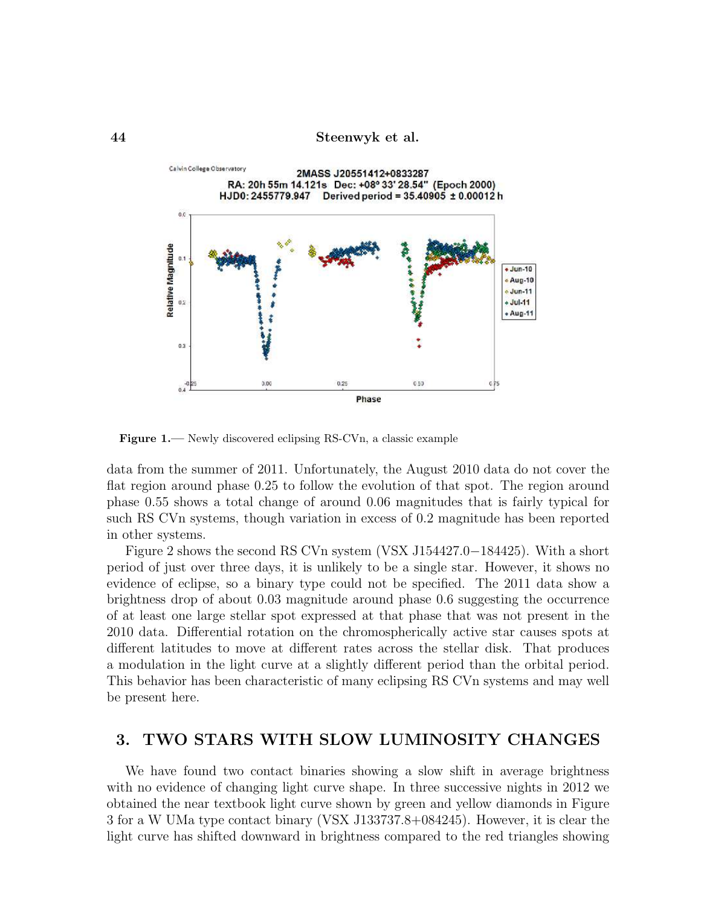44 Steenwyk et al.



Figure 1.— Newly discovered eclipsing RS-CVn, a classic example

data from the summer of 2011. Unfortunately, the August 2010 data do not cover the flat region around phase 0.25 to follow the evolution of that spot. The region around phase 0.55 shows a total change of around 0.06 magnitudes that is fairly typical for such RS CVn systems, though variation in excess of 0.2 magnitude has been reported in other systems.

Figure 2 shows the second RS CVn system (VSX J154427.0−184425). With a short period of just over three days, it is unlikely to be a single star. However, it shows no evidence of eclipse, so a binary type could not be specified. The 2011 data show a brightness drop of about 0.03 magnitude around phase 0.6 suggesting the occurrence of at least one large stellar spot expressed at that phase that was not present in the 2010 data. Differential rotation on the chromospherically active star causes spots at different latitudes to move at different rates across the stellar disk. That produces a modulation in the light curve at a slightly different period than the orbital period. This behavior has been characteristic of many eclipsing RS CVn systems and may well be present here.

# 3. TWO STARS WITH SLOW LUMINOSITY CHANGES

We have found two contact binaries showing a slow shift in average brightness with no evidence of changing light curve shape. In three successive nights in 2012 we obtained the near textbook light curve shown by green and yellow diamonds in Figure 3 for a W UMa type contact binary (VSX J133737.8+084245). However, it is clear the light curve has shifted downward in brightness compared to the red triangles showing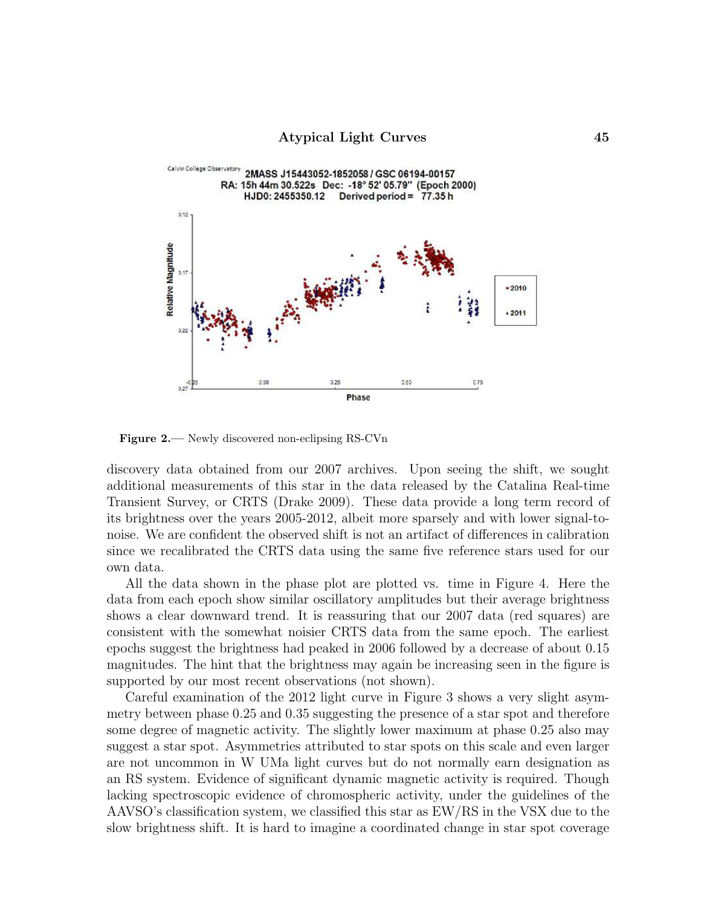

Figure 2.— Newly discovered non-eclipsing RS-CVn

discovery data obtained from our 2007 archives. Upon seeing the shift, we sought additional measurements of this star in the data released by the Catalina Real-time Transient Survey, or CRTS (Drake 2009). These data provide a long term record of its brightness over the years 2005-2012, albeit more sparsely and with lower signal-tonoise. We are confident the observed shift is not an artifact of differences in calibration since we recalibrated the CRTS data using the same five reference stars used for our own data.

All the data shown in the phase plot are plotted vs. time in Figure 4. Here the data from each epoch show similar oscillatory amplitudes but their average brightness shows a clear downward trend. It is reassuring that our 2007 data (red squares) are consistent with the somewhat noisier CRTS data from the same epoch. The earliest epochs suggest the brightness had peaked in 2006 followed by a decrease of about 0.15 magnitudes. The hint that the brightness may again be increasing seen in the figure is supported by our most recent observations (not shown).

Careful examination of the 2012 light curve in Figure 3 shows a very slight asymmetry between phase 0.25 and 0.35 suggesting the presence of a star spot and therefore some degree of magnetic activity. The slightly lower maximum at phase 0.25 also may suggest a star spot. Asymmetries attributed to star spots on this scale and even larger are not uncommon in W UMa light curves but do not normally earn designation as an RS system. Evidence of significant dynamic magnetic activity is required. Though lacking spectroscopic evidence of chromospheric activity, under the guidelines of the AAVSO's classification system, we classified this star as EW/RS in the VSX due to the slow brightness shift. It is hard to imagine a coordinated change in star spot coverage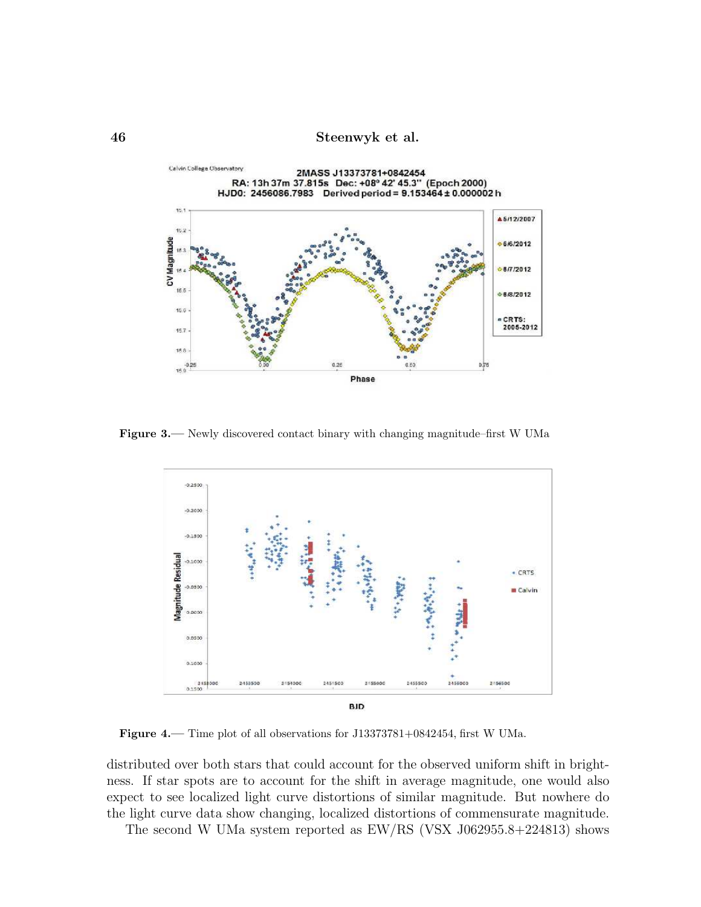46 Steenwyk et al.



Figure 3.— Newly discovered contact binary with changing magnitude–first W UMa



Figure 4.— Time plot of all observations for J13373781+0842454, first W UMa.

distributed over both stars that could account for the observed uniform shift in brightness. If star spots are to account for the shift in average magnitude, one would also expect to see localized light curve distortions of similar magnitude. But nowhere do the light curve data show changing, localized distortions of commensurate magnitude.

The second W UMa system reported as EW/RS (VSX J062955.8+224813) shows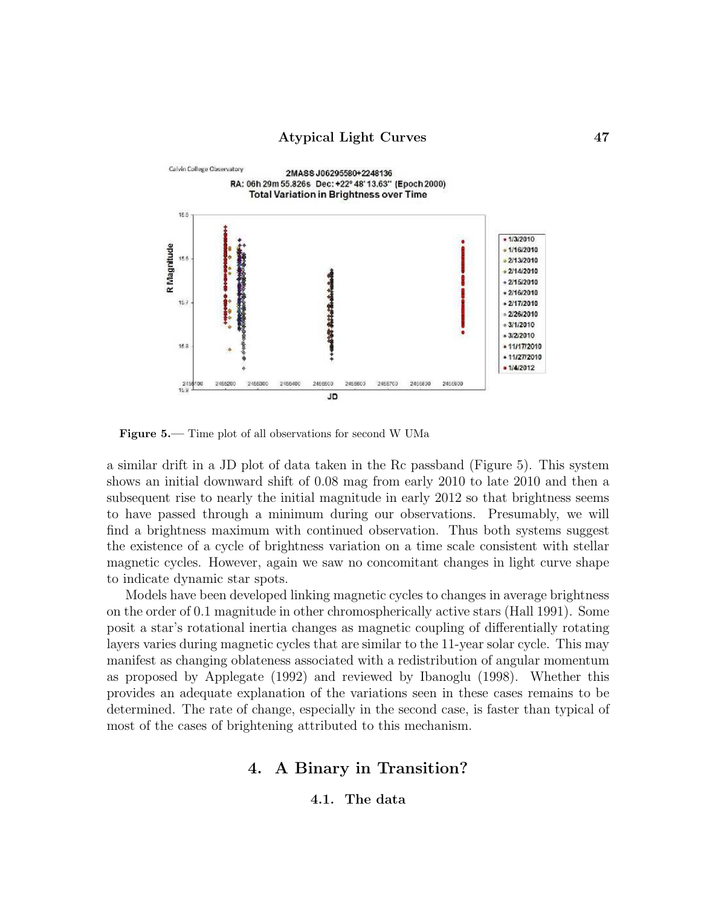

Figure 5.— Time plot of all observations for second W UMa

a similar drift in a JD plot of data taken in the Rc passband (Figure 5). This system shows an initial downward shift of 0.08 mag from early 2010 to late 2010 and then a subsequent rise to nearly the initial magnitude in early 2012 so that brightness seems to have passed through a minimum during our observations. Presumably, we will find a brightness maximum with continued observation. Thus both systems suggest the existence of a cycle of brightness variation on a time scale consistent with stellar magnetic cycles. However, again we saw no concomitant changes in light curve shape to indicate dynamic star spots.

Models have been developed linking magnetic cycles to changes in average brightness on the order of 0.1 magnitude in other chromospherically active stars (Hall 1991). Some posit a star's rotational inertia changes as magnetic coupling of differentially rotating layers varies during magnetic cycles that are similar to the 11-year solar cycle. This may manifest as changing oblateness associated with a redistribution of angular momentum as proposed by Applegate (1992) and reviewed by Ibanoglu (1998). Whether this provides an adequate explanation of the variations seen in these cases remains to be determined. The rate of change, especially in the second case, is faster than typical of most of the cases of brightening attributed to this mechanism.

# 4. A Binary in Transition?

4.1. The data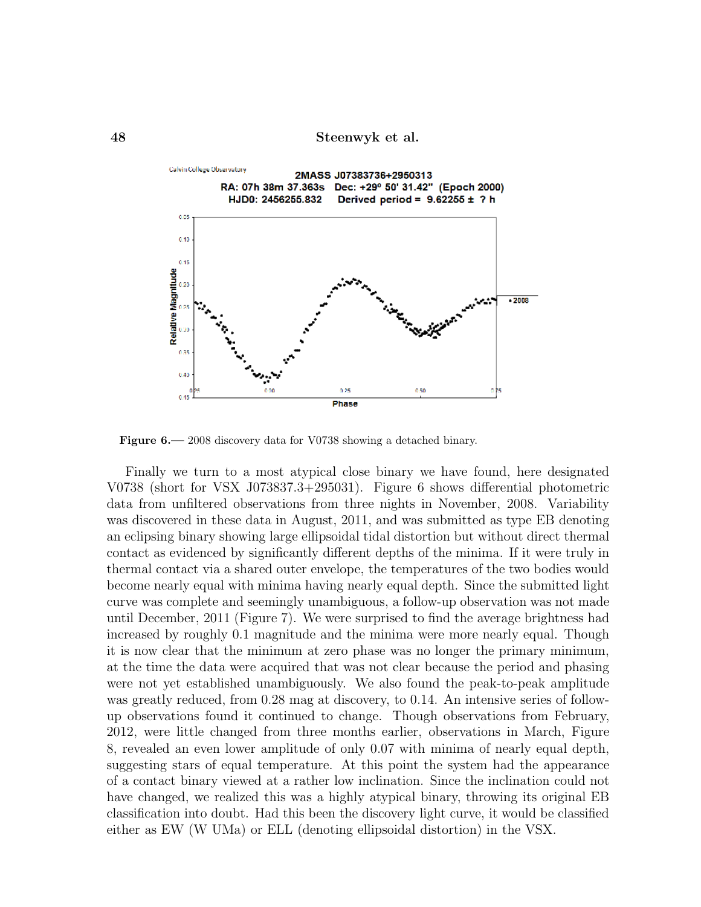

Figure 6.—2008 discovery data for V0738 showing a detached binary.

Finally we turn to a most atypical close binary we have found, here designated V0738 (short for VSX J073837.3+295031). Figure 6 shows differential photometric data from unfiltered observations from three nights in November, 2008. Variability was discovered in these data in August, 2011, and was submitted as type EB denoting an eclipsing binary showing large ellipsoidal tidal distortion but without direct thermal contact as evidenced by significantly different depths of the minima. If it were truly in thermal contact via a shared outer envelope, the temperatures of the two bodies would become nearly equal with minima having nearly equal depth. Since the submitted light curve was complete and seemingly unambiguous, a follow-up observation was not made until December, 2011 (Figure 7). We were surprised to find the average brightness had increased by roughly 0.1 magnitude and the minima were more nearly equal. Though it is now clear that the minimum at zero phase was no longer the primary minimum, at the time the data were acquired that was not clear because the period and phasing were not yet established unambiguously. We also found the peak-to-peak amplitude was greatly reduced, from 0.28 mag at discovery, to 0.14. An intensive series of followup observations found it continued to change. Though observations from February, 2012, were little changed from three months earlier, observations in March, Figure 8, revealed an even lower amplitude of only 0.07 with minima of nearly equal depth, suggesting stars of equal temperature. At this point the system had the appearance of a contact binary viewed at a rather low inclination. Since the inclination could not have changed, we realized this was a highly atypical binary, throwing its original EB classification into doubt. Had this been the discovery light curve, it would be classified either as EW (W UMa) or ELL (denoting ellipsoidal distortion) in the VSX.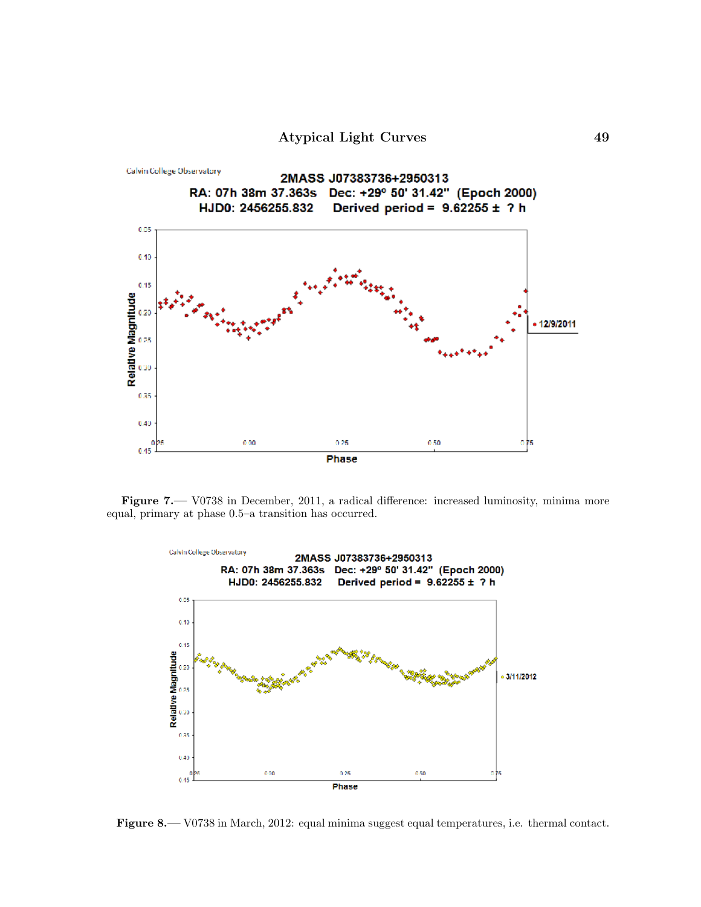Atypical Light Curves 49



Figure 7.— V0738 in December, 2011, a radical difference: increased luminosity, minima more equal, primary at phase 0.5–a transition has occurred.



Figure 8.— V0738 in March, 2012: equal minima suggest equal temperatures, i.e. thermal contact.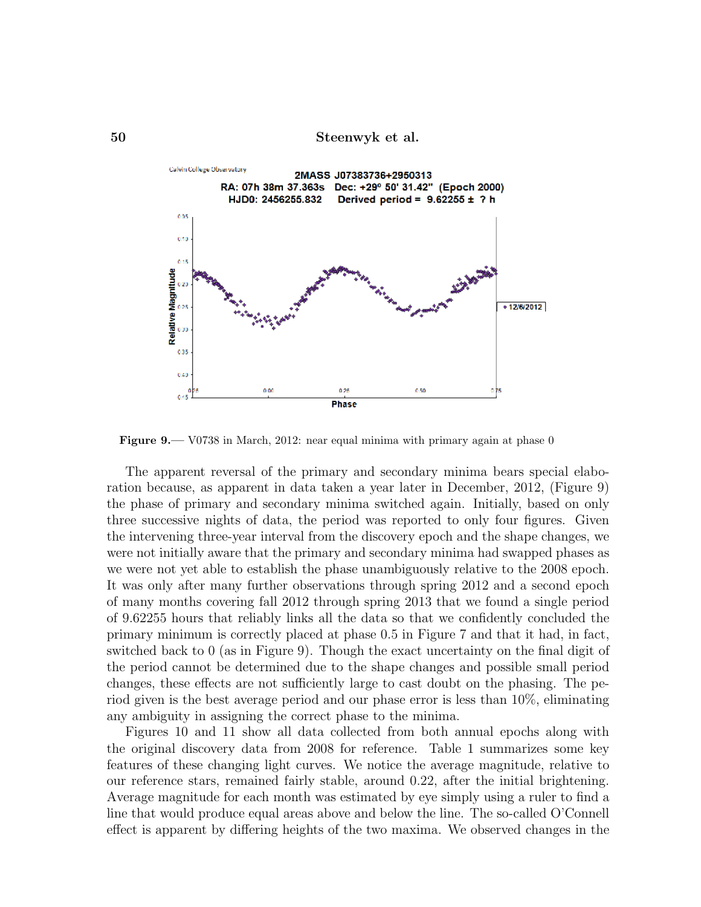

Figure 9.— V0738 in March, 2012: near equal minima with primary again at phase 0

The apparent reversal of the primary and secondary minima bears special elaboration because, as apparent in data taken a year later in December, 2012, (Figure 9) the phase of primary and secondary minima switched again. Initially, based on only three successive nights of data, the period was reported to only four figures. Given the intervening three-year interval from the discovery epoch and the shape changes, we were not initially aware that the primary and secondary minima had swapped phases as we were not yet able to establish the phase unambiguously relative to the 2008 epoch. It was only after many further observations through spring 2012 and a second epoch of many months covering fall 2012 through spring 2013 that we found a single period of 9.62255 hours that reliably links all the data so that we confidently concluded the primary minimum is correctly placed at phase 0.5 in Figure 7 and that it had, in fact, switched back to 0 (as in Figure 9). Though the exact uncertainty on the final digit of the period cannot be determined due to the shape changes and possible small period changes, these effects are not sufficiently large to cast doubt on the phasing. The period given is the best average period and our phase error is less than 10%, eliminating any ambiguity in assigning the correct phase to the minima.

Figures 10 and 11 show all data collected from both annual epochs along with the original discovery data from 2008 for reference. Table 1 summarizes some key features of these changing light curves. We notice the average magnitude, relative to our reference stars, remained fairly stable, around 0.22, after the initial brightening. Average magnitude for each month was estimated by eye simply using a ruler to find a line that would produce equal areas above and below the line. The so-called O'Connell effect is apparent by differing heights of the two maxima. We observed changes in the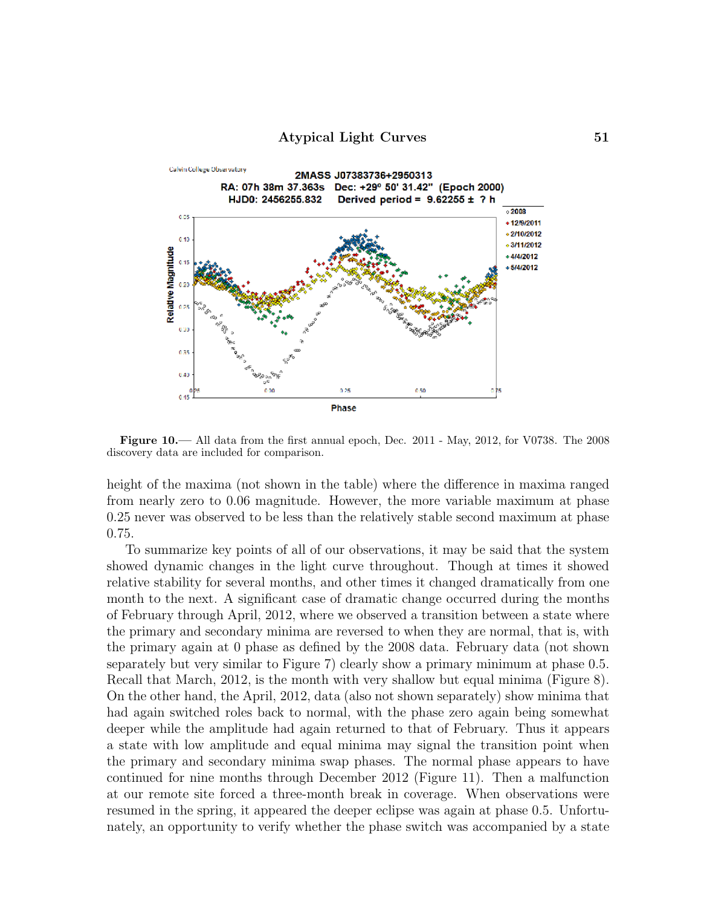

Figure 10.— All data from the first annual epoch, Dec. 2011 - May, 2012, for V0738. The 2008 discovery data are included for comparison.

height of the maxima (not shown in the table) where the difference in maxima ranged from nearly zero to 0.06 magnitude. However, the more variable maximum at phase 0.25 never was observed to be less than the relatively stable second maximum at phase 0.75.

To summarize key points of all of our observations, it may be said that the system showed dynamic changes in the light curve throughout. Though at times it showed relative stability for several months, and other times it changed dramatically from one month to the next. A significant case of dramatic change occurred during the months of February through April, 2012, where we observed a transition between a state where the primary and secondary minima are reversed to when they are normal, that is, with the primary again at 0 phase as defined by the 2008 data. February data (not shown separately but very similar to Figure 7) clearly show a primary minimum at phase 0.5. Recall that March, 2012, is the month with very shallow but equal minima (Figure 8). On the other hand, the April, 2012, data (also not shown separately) show minima that had again switched roles back to normal, with the phase zero again being somewhat deeper while the amplitude had again returned to that of February. Thus it appears a state with low amplitude and equal minima may signal the transition point when the primary and secondary minima swap phases. The normal phase appears to have continued for nine months through December 2012 (Figure 11). Then a malfunction at our remote site forced a three-month break in coverage. When observations were resumed in the spring, it appeared the deeper eclipse was again at phase 0.5. Unfortunately, an opportunity to verify whether the phase switch was accompanied by a state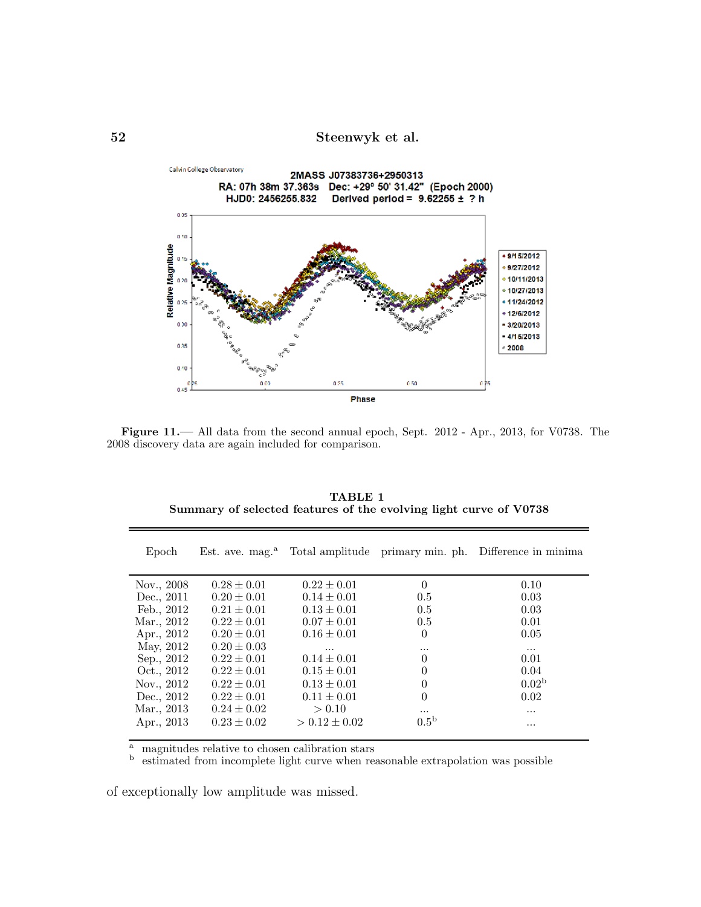

Figure 11.— All data from the second annual epoch, Sept. 2012 - Apr., 2013, for V0738. The 2008 discovery data are again included for comparison.

| Epoch      |                 |                   |                  | Est. ave. mag. <sup>a</sup> Total amplitude primary min. ph. Difference in minima |
|------------|-----------------|-------------------|------------------|-----------------------------------------------------------------------------------|
| Nov., 2008 | $0.28 \pm 0.01$ | $0.22 \pm 0.01$   | $\theta$         | 0.10                                                                              |
| Dec., 2011 | $0.20 \pm 0.01$ | $0.14 \pm 0.01$   | 0.5              | 0.03                                                                              |
| Feb., 2012 | $0.21 \pm 0.01$ | $0.13 \pm 0.01$   | 0.5              | 0.03                                                                              |
| Mar., 2012 | $0.22 \pm 0.01$ | $0.07 \pm 0.01$   | 0.5              | 0.01                                                                              |
| Apr., 2012 | $0.20 \pm 0.01$ | $0.16 \pm 0.01$   | $\theta$         | 0.05                                                                              |
| May, 2012  | $0.20 \pm 0.03$ | $\ddotsc$         | $\cdots$         | $\cdots$                                                                          |
| Sep., 2012 | $0.22 \pm 0.01$ | $0.14 \pm 0.01$   | $\Omega$         | 0.01                                                                              |
| Oct., 2012 | $0.22 \pm 0.01$ | $0.15 \pm 0.01$   | $\Omega$         | 0.04                                                                              |
| Nov., 2012 | $0.22 \pm 0.01$ | $0.13 \pm 0.01$   | $\theta$         | 0.02 <sup>b</sup>                                                                 |
| Dec., 2012 | $0.22 \pm 0.01$ | $0.11 \pm 0.01$   | $\Omega$         | 0.02                                                                              |
| Mar., 2013 | $0.24 \pm 0.02$ | > 0.10            | $\cdots$         | .                                                                                 |
| Apr., 2013 | $0.23 \pm 0.02$ | $> 0.12 \pm 0.02$ | 0.5 <sup>b</sup> | .                                                                                 |

TABLE 1 Summary of selected features of the evolving light curve of V0738

<sup>a</sup> magnitudes relative to chosen calibration stars

b estimated from incomplete light curve when reasonable extrapolation was possible

of exceptionally low amplitude was missed.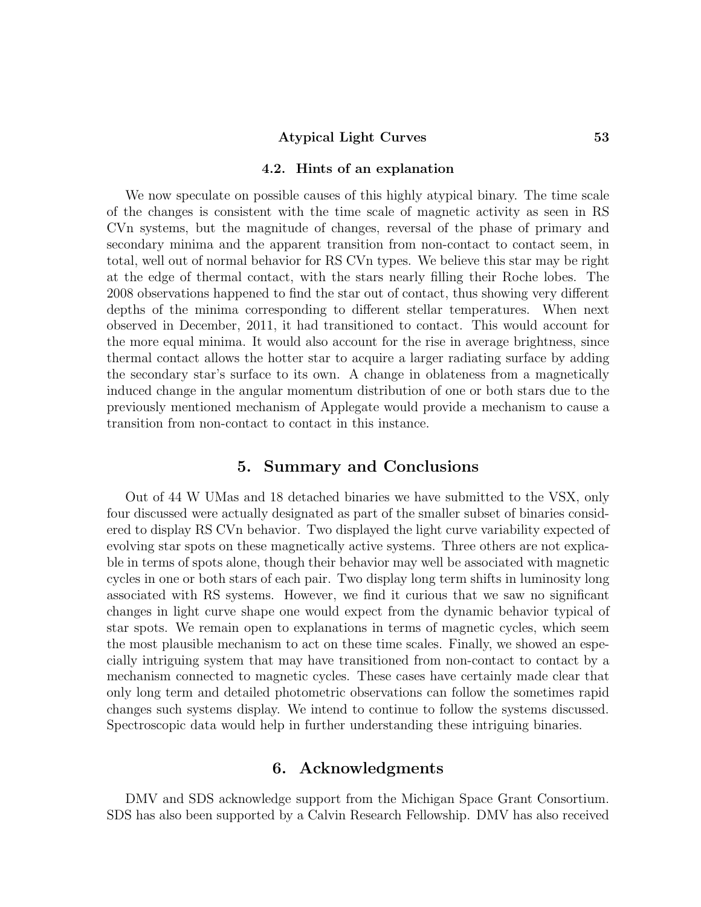#### Atypical Light Curves 53

#### 4.2. Hints of an explanation

We now speculate on possible causes of this highly atypical binary. The time scale of the changes is consistent with the time scale of magnetic activity as seen in RS CVn systems, but the magnitude of changes, reversal of the phase of primary and secondary minima and the apparent transition from non-contact to contact seem, in total, well out of normal behavior for RS CVn types. We believe this star may be right at the edge of thermal contact, with the stars nearly filling their Roche lobes. The 2008 observations happened to find the star out of contact, thus showing very different depths of the minima corresponding to different stellar temperatures. When next observed in December, 2011, it had transitioned to contact. This would account for the more equal minima. It would also account for the rise in average brightness, since thermal contact allows the hotter star to acquire a larger radiating surface by adding the secondary star's surface to its own. A change in oblateness from a magnetically induced change in the angular momentum distribution of one or both stars due to the previously mentioned mechanism of Applegate would provide a mechanism to cause a transition from non-contact to contact in this instance.

# 5. Summary and Conclusions

Out of 44 W UMas and 18 detached binaries we have submitted to the VSX, only four discussed were actually designated as part of the smaller subset of binaries considered to display RS CVn behavior. Two displayed the light curve variability expected of evolving star spots on these magnetically active systems. Three others are not explicable in terms of spots alone, though their behavior may well be associated with magnetic cycles in one or both stars of each pair. Two display long term shifts in luminosity long associated with RS systems. However, we find it curious that we saw no significant changes in light curve shape one would expect from the dynamic behavior typical of star spots. We remain open to explanations in terms of magnetic cycles, which seem the most plausible mechanism to act on these time scales. Finally, we showed an especially intriguing system that may have transitioned from non-contact to contact by a mechanism connected to magnetic cycles. These cases have certainly made clear that only long term and detailed photometric observations can follow the sometimes rapid changes such systems display. We intend to continue to follow the systems discussed. Spectroscopic data would help in further understanding these intriguing binaries.

# 6. Acknowledgments

DMV and SDS acknowledge support from the Michigan Space Grant Consortium. SDS has also been supported by a Calvin Research Fellowship. DMV has also received